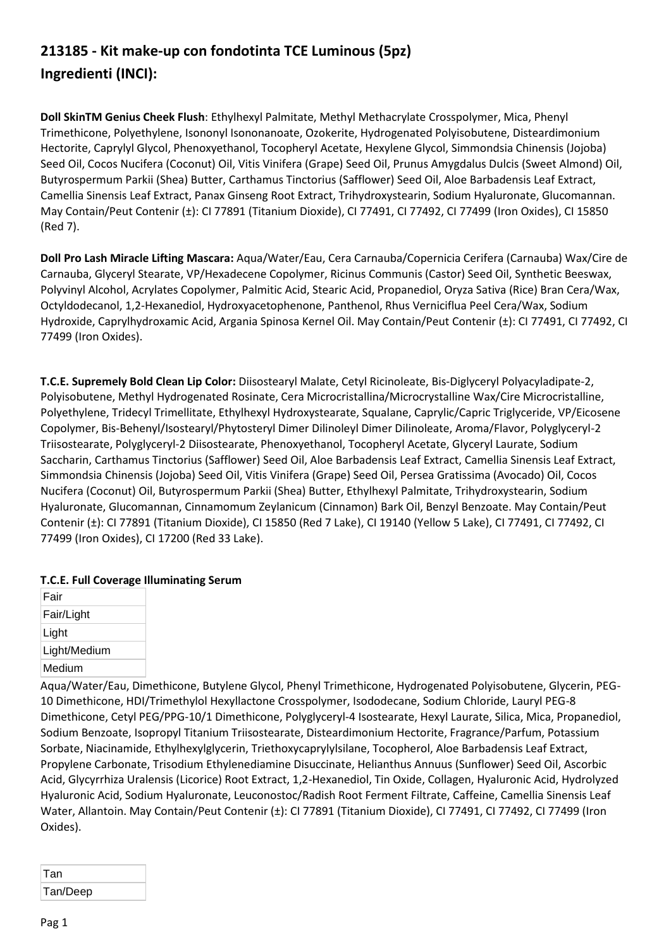## **213185 - Kit make-up con fondotinta TCE Luminous (5pz) Ingredienti (INCI):**

**Doll SkinTM Genius Cheek Flush**: Ethylhexyl Palmitate, Methyl Methacrylate Crosspolymer, Mica, Phenyl Trimethicone, Polyethylene, Isononyl Isononanoate, Ozokerite, Hydrogenated Polyisobutene, Disteardimonium Hectorite, Caprylyl Glycol, Phenoxyethanol, Tocopheryl Acetate, Hexylene Glycol, Simmondsia Chinensis (Jojoba) Seed Oil, Cocos Nucifera (Coconut) Oil, Vitis Vinifera (Grape) Seed Oil, Prunus Amygdalus Dulcis (Sweet Almond) Oil, Butyrospermum Parkii (Shea) Butter, Carthamus Tinctorius (Safflower) Seed Oil, Aloe Barbadensis Leaf Extract, Camellia Sinensis Leaf Extract, Panax Ginseng Root Extract, Trihydroxystearin, Sodium Hyaluronate, Glucomannan. May Contain/Peut Contenir (±): CI 77891 (Titanium Dioxide), CI 77491, CI 77492, CI 77499 (Iron Oxides), CI 15850 (Red 7).

**Doll Pro Lash Miracle Lifting Mascara:** Aqua/Water/Eau, Cera Carnauba/Copernicia Cerifera (Carnauba) Wax/Cire de Carnauba, Glyceryl Stearate, VP/Hexadecene Copolymer, Ricinus Communis (Castor) Seed Oil, Synthetic Beeswax, Polyvinyl Alcohol, Acrylates Copolymer, Palmitic Acid, Stearic Acid, Propanediol, Oryza Sativa (Rice) Bran Cera/Wax, Octyldodecanol, 1,2-Hexanediol, Hydroxyacetophenone, Panthenol, Rhus Verniciflua Peel Cera/Wax, Sodium Hydroxide, Caprylhydroxamic Acid, Argania Spinosa Kernel Oil. May Contain/Peut Contenir (±): CI 77491, CI 77492, CI 77499 (Iron Oxides).

**T.C.E. Supremely Bold Clean Lip Color:** Diisostearyl Malate, Cetyl Ricinoleate, Bis-Diglyceryl Polyacyladipate-2, Polyisobutene, Methyl Hydrogenated Rosinate, Cera Microcristallina/Microcrystalline Wax/Cire Microcristalline, Polyethylene, Tridecyl Trimellitate, Ethylhexyl Hydroxystearate, Squalane, Caprylic/Capric Triglyceride, VP/Eicosene Copolymer, Bis-Behenyl/Isostearyl/Phytosteryl Dimer Dilinoleyl Dimer Dilinoleate, Aroma/Flavor, Polyglyceryl-2 Triisostearate, Polyglyceryl-2 Diisostearate, Phenoxyethanol, Tocopheryl Acetate, Glyceryl Laurate, Sodium Saccharin, Carthamus Tinctorius (Safflower) Seed Oil, Aloe Barbadensis Leaf Extract, Camellia Sinensis Leaf Extract, Simmondsia Chinensis (Jojoba) Seed Oil, Vitis Vinifera (Grape) Seed Oil, Persea Gratissima (Avocado) Oil, Cocos Nucifera (Coconut) Oil, Butyrospermum Parkii (Shea) Butter, Ethylhexyl Palmitate, Trihydroxystearin, Sodium Hyaluronate, Glucomannan, Cinnamomum Zeylanicum (Cinnamon) Bark Oil, Benzyl Benzoate. May Contain/Peut Contenir (±): CI 77891 (Titanium Dioxide), CI 15850 (Red 7 Lake), CI 19140 (Yellow 5 Lake), CI 77491, CI 77492, CI 77499 (Iron Oxides), CI 17200 (Red 33 Lake).

## **T.C.E. Full Coverage Illuminating Serum**

| Fair         |
|--------------|
| Fair/Light   |
| Light        |
| Light/Medium |
| Medium       |

Aqua/Water/Eau, Dimethicone, Butylene Glycol, Phenyl Trimethicone, Hydrogenated Polyisobutene, Glycerin, PEG-10 Dimethicone, HDI/Trimethylol Hexyllactone Crosspolymer, Isododecane, Sodium Chloride, Lauryl PEG-8 Dimethicone, Cetyl PEG/PPG-10/1 Dimethicone, Polyglyceryl-4 Isostearate, Hexyl Laurate, Silica, Mica, Propanediol, Sodium Benzoate, Isopropyl Titanium Triisostearate, Disteardimonium Hectorite, Fragrance/Parfum, Potassium Sorbate, Niacinamide, Ethylhexylglycerin, Triethoxycaprylylsilane, Tocopherol, Aloe Barbadensis Leaf Extract, Propylene Carbonate, Trisodium Ethylenediamine Disuccinate, Helianthus Annuus (Sunflower) Seed Oil, Ascorbic Acid, Glycyrrhiza Uralensis (Licorice) Root Extract, 1,2-Hexanediol, Tin Oxide, Collagen, Hyaluronic Acid, Hydrolyzed Hyaluronic Acid, Sodium Hyaluronate, Leuconostoc/Radish Root Ferment Filtrate, Caffeine, Camellia Sinensis Leaf Water, Allantoin. May Contain/Peut Contenir (±): CI 77891 (Titanium Dioxide), CI 77491, CI 77492, CI 77499 (Iron Oxides).

| Tan      |  |
|----------|--|
| Tan/Deep |  |